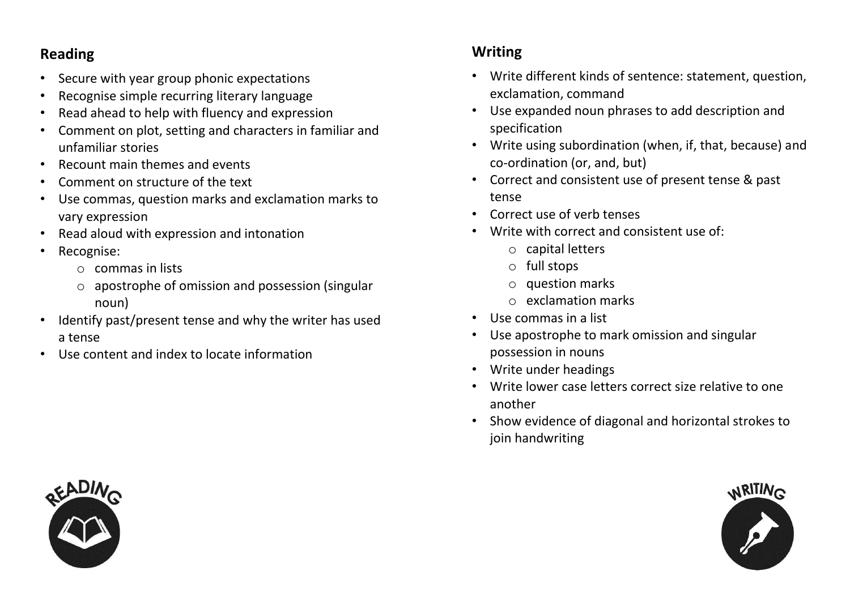## **Reading**

- Secure with year group phonic expectations
- Recognise simple recurring literary language
- Read ahead to help with fluency and expression
- Comment on plot, setting and characters in familiar and unfamiliar stories
- Recount main themes and events
- Comment on structure of the text
- Use commas, question marks and exclamation marks to vary expression
- Read aloud with expression and intonation
- Recognise:
	- o commas in lists
	- o apostrophe of omission and possession (singular noun)
- Identify past/present tense and why the writer has used a tense
- Use content and index to locate information

## **Writing**

- Write different kinds of sentence: statement, question, exclamation, command
- Use expanded noun phrases to add description and specification
- Write using subordination (when, if, that, because) and co-ordination (or, and, but)
- Correct and consistent use of present tense & past tense
- Correct use of verb tenses
- Write with correct and consistent use of:
	- o capital letters
	- o full stops
	- o question marks
	- o exclamation marks
- Use commas in a list
- Use apostrophe to mark omission and singular possession in nouns
- Write under headings
- Write lower case letters correct size relative to one another
- Show evidence of diagonal and horizontal strokes to join handwriting